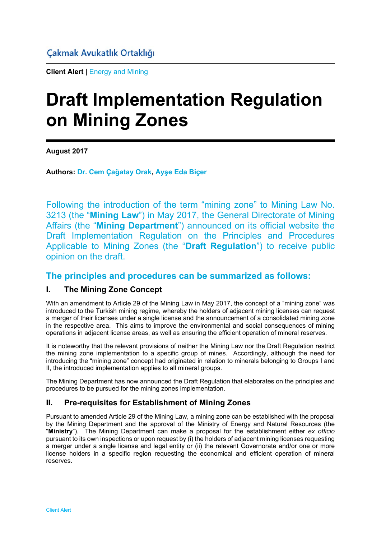**Client Alert** | Energy and Mining

# **Draft Implementation Regulation on Mining Zones**

**August 2017** 

**Authors: Dr. Cem Çağatay Orak, Ayşe Eda Biçer**

Following the introduction of the term "mining zone" to Mining Law No. 3213 (the "**Mining Law**") in May 2017, the General Directorate of Mining Affairs (the "**Mining Department**") announced on its official website the Draft Implementation Regulation on the Principles and Procedures Applicable to Mining Zones (the "**Draft Regulation**") to receive public opinion on the draft.

# **The principles and procedures can be summarized as follows:**

#### **I. The Mining Zone Concept**

With an amendment to Article 29 of the Mining Law in May 2017, the concept of a "mining zone" was introduced to the Turkish mining regime, whereby the holders of adjacent mining licenses can request a merger of their licenses under a single license and the announcement of a consolidated mining zone in the respective area. This aims to improve the environmental and social consequences of mining operations in adjacent license areas, as well as ensuring the efficient operation of mineral reserves.

It is noteworthy that the relevant provisions of neither the Mining Law nor the Draft Regulation restrict the mining zone implementation to a specific group of mines. Accordingly, although the need for introducing the "mining zone" concept had originated in relation to minerals belonging to Groups I and II, the introduced implementation applies to all mineral groups.

The Mining Department has now announced the Draft Regulation that elaborates on the principles and procedures to be pursued for the mining zones implementation.

### **II. Pre-requisites for Establishment of Mining Zones**

Pursuant to amended Article 29 of the Mining Law, a mining zone can be established with the proposal by the Mining Department and the approval of the Ministry of Energy and Natural Resources (the "**Ministry**"). The Mining Department can make a proposal for the establishment either *ex officio* pursuant to its own inspections or upon request by (i) the holders of adjacent mining licenses requesting a merger under a single license and legal entity or (ii) the relevant Governorate and/or one or more license holders in a specific region requesting the economical and efficient operation of mineral reserves.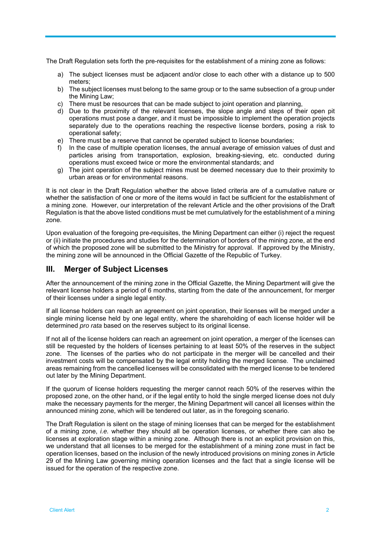The Draft Regulation sets forth the pre-requisites for the establishment of a mining zone as follows:

- a) The subject licenses must be adjacent and/or close to each other with a distance up to 500 meters;
- b) The subject licenses must belong to the same group or to the same subsection of a group under the Mining Law;
- c) There must be resources that can be made subject to joint operation and planning, d) Due to the proximity of the relevant licenses, the slope angle and steps of the
- Due to the proximity of the relevant licenses, the slope angle and steps of their open pit operations must pose a danger, and it must be impossible to implement the operation projects separately due to the operations reaching the respective license borders, posing a risk to operational safety;
- e) There must be a reserve that cannot be operated subject to license boundaries;
- f) In the case of multiple operation licenses, the annual average of emission values of dust and particles arising from transportation, explosion, breaking-sieving, etc. conducted during operations must exceed twice or more the environmental standards; and
- g) The joint operation of the subject mines must be deemed necessary due to their proximity to urban areas or for environmental reasons.

It is not clear in the Draft Regulation whether the above listed criteria are of a cumulative nature or whether the satisfaction of one or more of the items would in fact be sufficient for the establishment of a mining zone. However, our interpretation of the relevant Article and the other provisions of the Draft Regulation is that the above listed conditions must be met cumulatively for the establishment of a mining zone.

Upon evaluation of the foregoing pre-requisites, the Mining Department can either (i) reject the request or (ii) initiate the procedures and studies for the determination of borders of the mining zone, at the end of which the proposed zone will be submitted to the Ministry for approval. If approved by the Ministry, the mining zone will be announced in the Official Gazette of the Republic of Turkey.

#### **III. Merger of Subject Licenses**

After the announcement of the mining zone in the Official Gazette, the Mining Department will give the relevant license holders a period of 6 months, starting from the date of the announcement, for merger of their licenses under a single legal entity.

If all license holders can reach an agreement on joint operation, their licenses will be merged under a single mining license held by one legal entity, where the shareholding of each license holder will be determined *pro rata* based on the reserves subject to its original license.

If not all of the license holders can reach an agreement on joint operation, a merger of the licenses can still be requested by the holders of licenses pertaining to at least 50% of the reserves in the subject zone. The licenses of the parties who do not participate in the merger will be cancelled and their investment costs will be compensated by the legal entity holding the merged license. The unclaimed areas remaining from the cancelled licenses will be consolidated with the merged license to be tendered out later by the Mining Department.

If the quorum of license holders requesting the merger cannot reach 50% of the reserves within the proposed zone, on the other hand, or if the legal entity to hold the single merged license does not duly make the necessary payments for the merger, the Mining Department will cancel all licenses within the announced mining zone, which will be tendered out later, as in the foregoing scenario.

The Draft Regulation is silent on the stage of mining licenses that can be merged for the establishment of a mining zone, *i.e.* whether they should all be operation licenses, or whether there can also be licenses at exploration stage within a mining zone. Although there is not an explicit provision on this, we understand that all licenses to be merged for the establishment of a mining zone must in fact be operation licenses, based on the inclusion of the newly introduced provisions on mining zones in Article 29 of the Mining Law governing mining operation licenses and the fact that a single license will be issued for the operation of the respective zone.